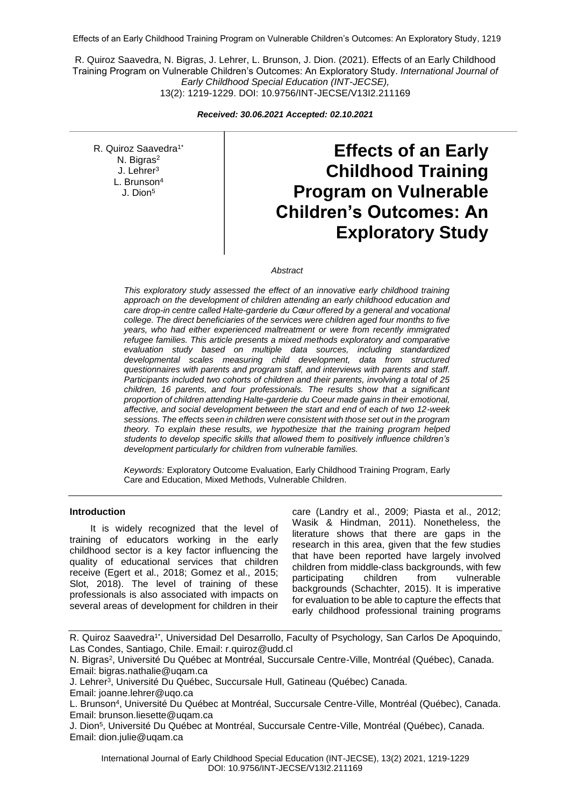Effects of an Early Childhood Training Program on Vulnerable Children's Outcomes: An Exploratory Study, 1219

R. Quiroz Saavedra, N. Bigras, J. Lehrer, L. Brunson, J. Dion. (2021). Effects of an Early Childhood Training Program on Vulnerable Children's Outcomes: An Exploratory Study. *International Journal of Early Childhood Special Education (INT-JECSE),* 13(2): 1219-1229. DOI: 10.9756/INT-JECSE/V13I2.211169

*Received: 30.06.2021 Accepted: 02.10.2021*

R. Quiroz Saavedra<sup>1\*</sup> N. Bigras<sup>2</sup> J. Lehrer<sup>3</sup> L. Brunson<sup>4</sup> J. Dion<sup>5</sup>

**Effects of an Early Childhood Training Program on Vulnerable Children's Outcomes: An Exploratory Study**

### *Abstract*

*This exploratory study assessed the effect of an innovative early childhood training approach on the development of children attending an early childhood education and care drop-in centre called Halte-garderie du Cœur offered by a general and vocational college. The direct beneficiaries of the services were children aged four months to five years, who had either experienced maltreatment or were from recently immigrated refugee families. This article presents a mixed methods exploratory and comparative evaluation study based on multiple data sources, including standardized developmental scales measuring child development, data from structured questionnaires with parents and program staff, and interviews with parents and staff. Participants included two cohorts of children and their parents, involving a total of 25 children, 16 parents, and four professionals. The results show that a significant proportion of children attending Halte-garderie du Coeur made gains in their emotional, affective, and social development between the start and end of each of two 12-week sessions. The effects seen in children were consistent with those set out in the program theory. To explain these results, we hypothesize that the training program helped students to develop specific skills that allowed them to positively influence children's development particularly for children from vulnerable families.*

*Keywords:* Exploratory Outcome Evaluation, Early Childhood Training Program, Early Care and Education, Mixed Methods, Vulnerable Children.

## **Introduction**

It is widely recognized that the level of training of educators working in the early childhood sector is a key factor influencing the quality of educational services that children receive (Egert et al., 2018; Gomez et al., 2015; Slot, 2018). The level of training of these professionals is also associated with impacts on several areas of development for children in their

care (Landry et al., 2009; Piasta et al., 2012; Wasik & Hindman, 2011). Nonetheless, the literature shows that there are gaps in the research in this area, given that the few studies that have been reported have largely involved children from middle-class backgrounds, with few participating children from vulnerable backgrounds (Schachter, 2015). It is imperative for evaluation to be able to capture the effects that early childhood professional training programs

R. Quiroz Saavedra1\*, Universidad Del Desarrollo, Faculty of Psychology, San Carlos De Apoquindo, Las Condes, Santiago, Chile. Email: r.quiroz@udd.cl

N. Bigras<sup>2</sup>, Université Du Québec at Montréal, Succursale Centre-Ville, Montréal (Québec), Canada. Email: bigras.nathalie@uqam.ca

J. Lehrer<sup>3</sup> , Université Du Québec, Succursale Hull, Gatineau (Québec) Canada.

Email: joanne.lehrer@uqo.ca

L. Brunson<sup>4</sup> , Université Du Québec at Montréal, Succursale Centre-Ville, Montréal (Québec), Canada. Email: brunson.liesette@uqam.ca

J. Dion<sup>5</sup> , Université Du Québec at Montréal, Succursale Centre-Ville, Montréal (Québec), Canada. Email: dion.julie@uqam.ca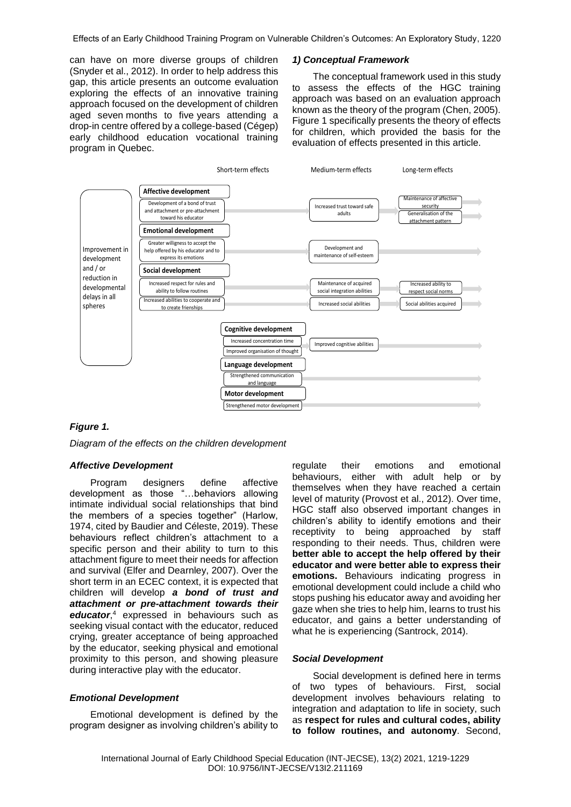can have on more diverse groups of children (Snyder et al., 2012). In order to help address this gap, this article presents an outcome evaluation exploring the effects of an innovative training approach focused on the development of children aged seven months to five years attending a drop-in centre offered by a college-based (Cégep) early childhood education vocational training program in Quebec.

#### *1) Conceptual Framework*

The conceptual framework used in this study to assess the effects of the HGC training approach was based on an evaluation approach known as the theory of the program (Chen, 2005). Figure 1 specifically presents the theory of effects for children, which provided the basis for the evaluation of effects presented in this article.



## *Figure 1.*

*Diagram of the effects on the children development*

### *Affective Development*

Program designers define affective development as those "…behaviors allowing intimate individual social relationships that bind the members of a species together" (Harlow, 1974, cited by Baudier and Céleste, 2019). These behaviours reflect children's attachment to a specific person and their ability to turn to this attachment figure to meet their needs for affection and survival (Elfer and Dearnley, 2007). Over the short term in an ECEC context, it is expected that children will develop *a bond of trust and attachment or pre-attachment towards their educator*, <sup>4</sup> expressed in behaviours such as seeking visual contact with the educator, reduced crying, greater acceptance of being approached by the educator, seeking physical and emotional proximity to this person, and showing pleasure during interactive play with the educator.

### *Emotional Development*

Emotional development is defined by the program designer as involving children's ability to

regulate their emotions and emotional behaviours, either with adult help or by themselves when they have reached a certain level of maturity (Provost et al., 2012). Over time, HGC staff also observed important changes in children's ability to identify emotions and their receptivity to being approached by staff responding to their needs. Thus, children were **better able to accept the help offered by their educator and were better able to express their emotions.** Behaviours indicating progress in emotional development could include a child who stops pushing his educator away and avoiding her gaze when she tries to help him, learns to trust his educator, and gains a better understanding of what he is experiencing (Santrock, 2014).

#### *Social Development*

Social development is defined here in terms of two types of behaviours. First, social development involves behaviours relating to integration and adaptation to life in society, such as **respect for rules and cultural codes, ability to follow routines, and autonomy**. Second,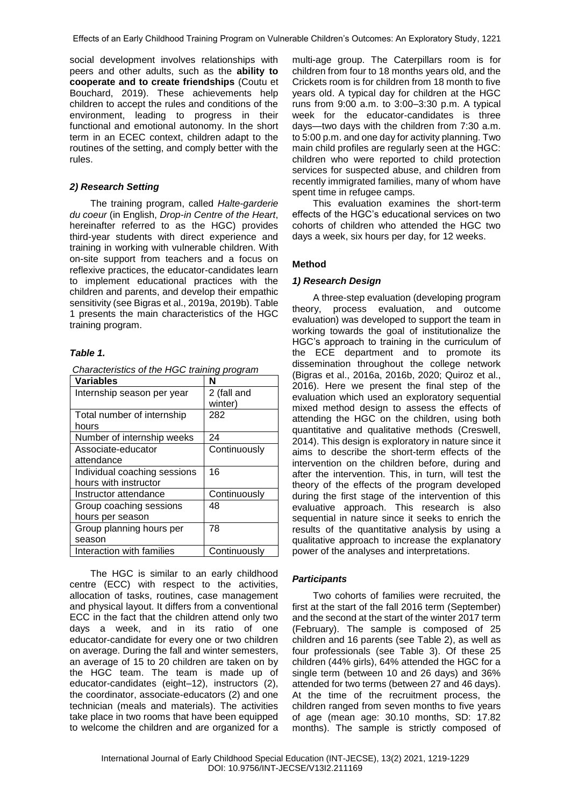social development involves relationships with peers and other adults, such as the **ability to cooperate and to create friendships** (Coutu et Bouchard, 2019). These achievements help children to accept the rules and conditions of the environment, leading to progress in their functional and emotional autonomy. In the short term in an ECEC context, children adapt to the routines of the setting, and comply better with the rules.

### *2) Research Setting*

The training program, called *Halte-garderie du coeur* (in English, *Drop-in Centre of the Heart*, hereinafter referred to as the HGC) provides third-year students with direct experience and training in working with vulnerable children. With on-site support from teachers and a focus on reflexive practices, the educator-candidates learn to implement educational practices with the children and parents, and develop their empathic sensitivity (see Bigras et al., 2019a, 2019b). Table 1 presents the main characteristics of the HGC training program.

## *Table 1.*

| <b>Variables</b>             | N            |
|------------------------------|--------------|
| Internship season per year   | 2 (fall and  |
|                              | winter)      |
| Total number of internship   | 282          |
| hours                        |              |
| Number of internship weeks   | 24           |
| Associate-educator           | Continuously |
| attendance                   |              |
| Individual coaching sessions | 16           |
| hours with instructor        |              |
| Instructor attendance        | Continuously |
| Group coaching sessions      | 48           |
| hours per season             |              |
| Group planning hours per     | 78           |
| season                       |              |
| Interaction with families    | Continuously |

The HGC is similar to an early childhood centre (ECC) with respect to the activities, allocation of tasks, routines, case management and physical layout. It differs from a conventional ECC in the fact that the children attend only two days a week, and in its ratio of one educator-candidate for every one or two children on average. During the fall and winter semesters, an average of 15 to 20 children are taken on by the HGC team. The team is made up of educator-candidates (eight–12), instructors (2), the coordinator, associate-educators (2) and one technician (meals and materials). The activities take place in two rooms that have been equipped to welcome the children and are organized for a

multi-age group. The Caterpillars room is for children from four to 18 months years old, and the Crickets room is for children from 18 month to five years old. A typical day for children at the HGC runs from 9:00 a.m. to 3:00–3:30 p.m. A typical week for the educator-candidates is three days—two days with the children from 7:30 a.m. to 5:00 p.m. and one day for activity planning. Two main child profiles are regularly seen at the HGC: children who were reported to child protection services for suspected abuse, and children from recently immigrated families, many of whom have spent time in refugee camps.

This evaluation examines the short-term effects of the HGC's educational services on two cohorts of children who attended the HGC two days a week, six hours per day, for 12 weeks.

### **Method**

### *1) Research Design*

A three-step evaluation (developing program theory, process evaluation, and outcome evaluation) was developed to support the team in working towards the goal of institutionalize the HGC's approach to training in the curriculum of the ECE department and to promote its dissemination throughout the college network (Bigras et al., 2016a, 2016b, 2020; Quiroz et al., 2016). Here we present the final step of the evaluation which used an exploratory sequential mixed method design to assess the effects of attending the HGC on the children, using both quantitative and qualitative methods (Creswell, 2014). This design is exploratory in nature since it aims to describe the short-term effects of the intervention on the children before, during and after the intervention. This, in turn, will test the theory of the effects of the program developed during the first stage of the intervention of this evaluative approach. This research is also sequential in nature since it seeks to enrich the results of the quantitative analysis by using a qualitative approach to increase the explanatory power of the analyses and interpretations.

#### *Participants*

Two cohorts of families were recruited, the first at the start of the fall 2016 term (September) and the second at the start of the winter 2017 term (February). The sample is composed of 25 children and 16 parents (see Table 2), as well as four professionals (see Table 3). Of these 25 children (44% girls), 64% attended the HGC for a single term (between 10 and 26 days) and 36% attended for two terms (between 27 and 46 days). At the time of the recruitment process, the children ranged from seven months to five years of age (mean age: 30.10 months, SD: 17.82 months). The sample is strictly composed of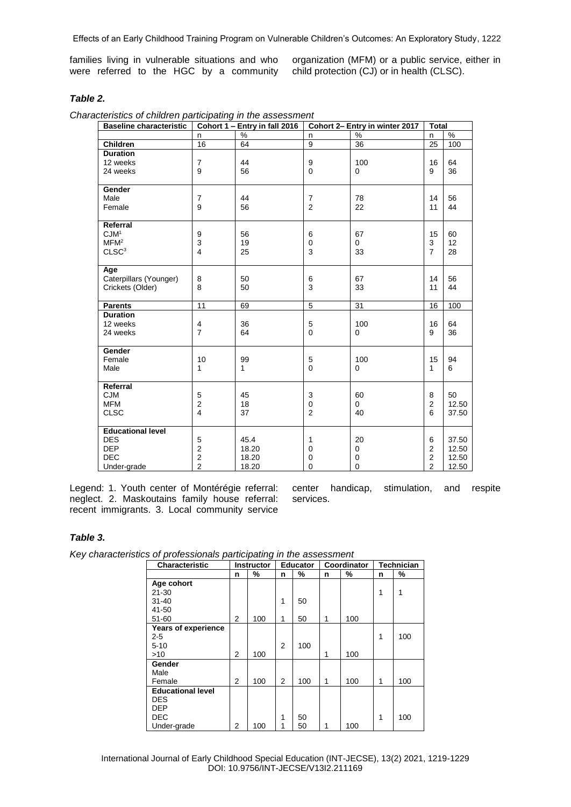Effects of an Early Childhood Training Program on Vulnerable Children's Outcomes: An Exploratory Study, 1222

families living in vulnerable situations and who were referred to the HGC by a community organization (MFM) or a public service, either in child protection (CJ) or in health (CLSC).

# *Table 2.*

| <b>Baseline characteristic</b> | Cohort 1 - Entry in fall 2016 |          | Cohort 2- Entry in winter 2017 |                    |                  | <b>Total</b> |  |
|--------------------------------|-------------------------------|----------|--------------------------------|--------------------|------------------|--------------|--|
|                                | n                             | %        | n                              | $\%$               | n                | %            |  |
| <b>Children</b>                | 16                            | 64       | $\boldsymbol{9}$               | 36                 | 25               | 100          |  |
| <b>Duration</b>                |                               |          |                                |                    |                  |              |  |
| 12 weeks                       | $\overline{7}$                | 44       | 9                              | 100                | 16               | 64           |  |
| 24 weeks                       | 9                             | 56       | $\mathbf 0$                    | $\mathbf 0$        | 9                | 36           |  |
|                                |                               |          |                                |                    |                  |              |  |
| Gender                         |                               |          |                                |                    |                  |              |  |
| Male                           | $\overline{7}$                | 44       | $\overline{7}$                 | 78                 | 14               | 56           |  |
| Female                         | 9                             | 56       | $\overline{2}$                 | 22                 | 11               | 44           |  |
|                                |                               |          |                                |                    |                  |              |  |
| Referral                       |                               |          |                                |                    |                  |              |  |
| CJM <sup>1</sup>               | 9                             | 56       | 6                              | 67                 | 15               | 60           |  |
| MFM <sup>2</sup>               | 3                             | 19       | $\mathbf 0$                    | 0                  | 3                | 12           |  |
| CLSC <sup>3</sup>              | 4                             | 25       | 3                              | 33                 | $\overline{7}$   | 28           |  |
|                                |                               |          |                                |                    |                  |              |  |
| Age                            |                               |          |                                |                    |                  |              |  |
| Caterpillars (Younger)         | 8                             | 50       | 6                              | 67                 | 14               | 56           |  |
| Crickets (Older)               | 8                             | 50       | 3                              | 33                 | 11               | 44           |  |
| <b>Parents</b>                 | 11                            | 69       | $\overline{5}$                 | 31                 | 16               | 100          |  |
| <b>Duration</b>                |                               |          |                                |                    |                  |              |  |
| 12 weeks                       |                               |          |                                |                    |                  | 64           |  |
| 24 weeks                       | 4<br>$\overline{7}$           | 36<br>64 | 5<br>$\mathbf 0$               | 100<br>$\mathbf 0$ | 16<br>9          | 36           |  |
|                                |                               |          |                                |                    |                  |              |  |
| Gender                         |                               |          |                                |                    |                  |              |  |
| Female                         | 10                            | 99       | 5                              | 100                | 15               | 94           |  |
| Male                           | 1                             | 1        | $\mathbf 0$                    | $\Omega$           | 1                | 6            |  |
|                                |                               |          |                                |                    |                  |              |  |
| Referral                       |                               |          |                                |                    |                  |              |  |
| <b>CJM</b>                     | 5                             | 45       | 3                              | 60                 | 8                | 50           |  |
| <b>MFM</b>                     | $\overline{c}$                | 18       | $\mathbf 0$                    | 0                  | $\overline{2}$   | 12.50        |  |
| <b>CLSC</b>                    | $\overline{4}$                | 37       | $\overline{2}$                 | 40                 | 6                | 37.50        |  |
|                                |                               |          |                                |                    |                  |              |  |
| <b>Educational level</b>       |                               |          |                                |                    |                  |              |  |
| <b>DES</b>                     | 5                             | 45.4     | 1                              | 20                 | 6                | 37.50        |  |
| <b>DEP</b>                     | $\overline{\mathbf{c}}$       | 18.20    | $\mathbf 0$                    | 0                  | $\overline{2}$   | 12.50        |  |
| <b>DEC</b>                     | $\overline{\mathbf{c}}$       | 18.20    | $\mathbf 0$                    | 0                  | $\boldsymbol{2}$ | 12.50        |  |
| Under-grade                    | $\overline{2}$                | 18.20    | 0                              | $\mathbf 0$        | $\overline{2}$   | 12.50        |  |

Legend: 1. Youth center of Montérégie referral: neglect. 2. Maskoutains family house referral: recent immigrants. 3. Local community service

center handicap, stimulation, and respite services.

# *Table 3.*

*Key characteristics of professionals participating in the assessment*

| <b>Characteristic</b>    | <b>Instructor</b> |     | <b>Educator</b> |     | Coordinator |     | <b>Technician</b> |     |
|--------------------------|-------------------|-----|-----------------|-----|-------------|-----|-------------------|-----|
|                          | n                 | %   | n               | %   | n           | %   | n                 | %   |
| Age cohort               |                   |     |                 |     |             |     |                   |     |
| $21 - 30$                |                   |     |                 |     |             |     | 1                 | 1   |
| $31 - 40$                |                   |     | 1               | 50  |             |     |                   |     |
| 41-50                    |                   |     |                 |     |             |     |                   |     |
| $51 - 60$                | 2                 | 100 | 1               | 50  | 1           | 100 |                   |     |
| Years of experience      |                   |     |                 |     |             |     |                   |     |
| $2 - 5$                  |                   |     |                 |     |             |     | 1                 | 100 |
| $5 - 10$                 |                   |     | 2               | 100 |             |     |                   |     |
| >10                      | 2                 | 100 |                 |     | 1           | 100 |                   |     |
| Gender                   |                   |     |                 |     |             |     |                   |     |
| Male                     |                   |     |                 |     |             |     |                   |     |
| Female                   | 2                 | 100 | 2               | 100 | 1           | 100 | 1                 | 100 |
| <b>Educational level</b> |                   |     |                 |     |             |     |                   |     |
| DES                      |                   |     |                 |     |             |     |                   |     |
| <b>DEP</b>               |                   |     |                 |     |             |     |                   |     |
| DEC                      |                   |     | 1               | 50  |             |     | 1                 | 100 |
| Under-grade              | 2                 | 100 |                 | 50  | 1           | 100 |                   |     |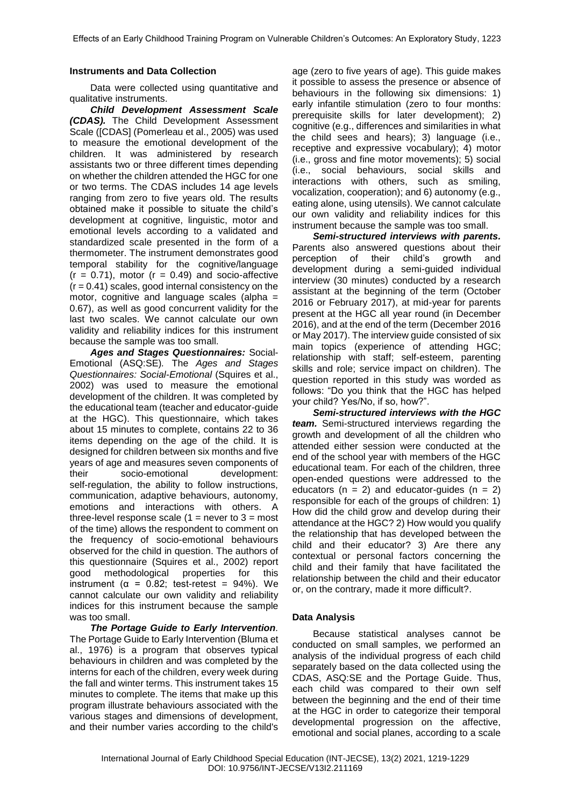# **Instruments and Data Collection**

Data were collected using quantitative and qualitative instruments.

*Child Development Assessment Scale (CDAS).* The Child Development Assessment Scale ([CDAS] (Pomerleau et al., 2005) was used to measure the emotional development of the children. It was administered by research assistants two or three different times depending on whether the children attended the HGC for one or two terms. The CDAS includes 14 age levels ranging from zero to five years old. The results obtained make it possible to situate the child's development at cognitive, linguistic, motor and emotional levels according to a validated and standardized scale presented in the form of a thermometer. The instrument demonstrates good temporal stability for the cognitive/language  $(r = 0.71)$ , motor  $(r = 0.49)$  and socio-affective  $(r = 0.41)$  scales, good internal consistency on the motor, cognitive and language scales (alpha = 0.67), as well as good concurrent validity for the last two scales. We cannot calculate our own validity and reliability indices for this instrument because the sample was too small.

*Ages and Stages Questionnaires:* Social-Emotional (ASQ:SE)*.* The *Ages and Stages Questionnaires: Social-Emotional* (Squires et al., 2002) was used to measure the emotional development of the children. It was completed by the educational team (teacher and educator-guide at the HGC). This questionnaire, which takes about 15 minutes to complete, contains 22 to 36 items depending on the age of the child. It is designed for children between six months and five years of age and measures seven components of their socio-emotional development: self-regulation, the ability to follow instructions, communication, adaptive behaviours, autonomy, emotions and interactions with others. A three-level response scale  $(1 =$  never to  $3 =$  most of the time) allows the respondent to comment on the frequency of socio-emotional behaviours observed for the child in question. The authors of this questionnaire (Squires et al., 2002) report good methodological properties for this instrument ( $\alpha$  = 0.82; test-retest = 94%). We cannot calculate our own validity and reliability indices for this instrument because the sample was too small.

*The Portage Guide to Early Intervention.*  The Portage Guide to Early Intervention (Bluma et al., 1976) is a program that observes typical behaviours in children and was completed by the interns for each of the children, every week during the fall and winter terms. This instrument takes 15 minutes to complete. The items that make up this program illustrate behaviours associated with the various stages and dimensions of development, and their number varies according to the child's

age (zero to five years of age). This guide makes it possible to assess the presence or absence of behaviours in the following six dimensions: 1) early infantile stimulation (zero to four months: prerequisite skills for later development); 2) cognitive (e.g., differences and similarities in what the child sees and hears); 3) language (i.e., receptive and expressive vocabulary); 4) motor (i.e., gross and fine motor movements); 5) social (i.e., social behaviours, social skills and interactions with others, such as smiling, vocalization, cooperation); and 6) autonomy (e.g., eating alone, using utensils). We cannot calculate our own validity and reliability indices for this instrument because the sample was too small.

*Semi-structured interviews with parents.*  Parents also answered questions about their perception of their child's growth and development during a semi-guided individual interview (30 minutes) conducted by a research assistant at the beginning of the term (October 2016 or February 2017), at mid-year for parents present at the HGC all year round (in December 2016), and at the end of the term (December 2016 or May 2017). The interview guide consisted of six main topics (experience of attending HGC; relationship with staff; self-esteem, parenting skills and role; service impact on children). The question reported in this study was worded as follows: "Do you think that the HGC has helped your child? Yes/No, if so, how?".

*Semi-structured interviews with the HGC team.* Semi-structured interviews regarding the growth and development of all the children who attended either session were conducted at the end of the school year with members of the HGC educational team. For each of the children, three open-ended questions were addressed to the educators ( $n = 2$ ) and educator-quides ( $n = 2$ ) responsible for each of the groups of children: 1) How did the child grow and develop during their attendance at the HGC? 2) How would you qualify the relationship that has developed between the child and their educator? 3) Are there any contextual or personal factors concerning the child and their family that have facilitated the relationship between the child and their educator or, on the contrary, made it more difficult?.

## **Data Analysis**

Because statistical analyses cannot be conducted on small samples, we performed an analysis of the individual progress of each child separately based on the data collected using the CDAS, ASQ:SE and the Portage Guide. Thus, each child was compared to their own self between the beginning and the end of their time at the HGC in order to categorize their temporal developmental progression on the affective, emotional and social planes, according to a scale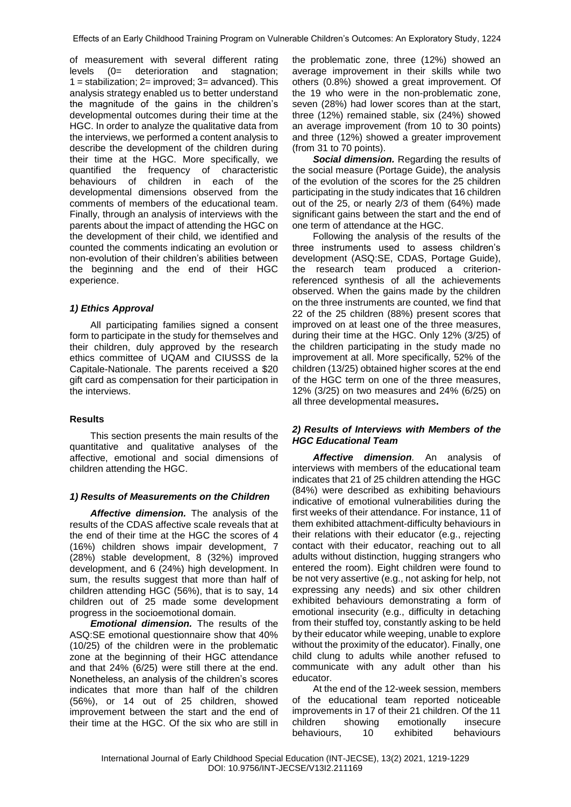of measurement with several different rating levels (0= deterioration and stagnation;  $1 =$  stabilization;  $2 =$  improved;  $3 =$  advanced). This analysis strategy enabled us to better understand the magnitude of the gains in the children's developmental outcomes during their time at the HGC. In order to analyze the qualitative data from the interviews, we performed a content analysis to describe the development of the children during their time at the HGC. More specifically, we quantified the frequency of characteristic behaviours of children in each of the developmental dimensions observed from the comments of members of the educational team. Finally, through an analysis of interviews with the parents about the impact of attending the HGC on the development of their child, we identified and counted the comments indicating an evolution or non-evolution of their children's abilities between the beginning and the end of their HGC experience.

# *1) Ethics Approval*

All participating families signed a consent form to participate in the study for themselves and their children, duly approved by the research ethics committee of UQAM and CIUSSS de la Capitale-Nationale. The parents received a \$20 gift card as compensation for their participation in the interviews.

# **Results**

This section presents the main results of the quantitative and qualitative analyses of the affective, emotional and social dimensions of children attending the HGC.

# *1) Results of Measurements on the Children*

*Affective dimension.* The analysis of the results of the CDAS affective scale reveals that at the end of their time at the HGC the scores of 4 (16%) children shows impair development, 7 (28%) stable development, 8 (32%) improved development, and 6 (24%) high development. In sum, the results suggest that more than half of children attending HGC (56%), that is to say, 14 children out of 25 made some development progress in the socioemotional domain.

*Emotional dimension.* The results of the ASQ:SE emotional questionnaire show that 40% (10/25) of the children were in the problematic zone at the beginning of their HGC attendance and that 24% (6/25) were still there at the end. Nonetheless, an analysis of the children's scores indicates that more than half of the children (56%), or 14 out of 25 children, showed improvement between the start and the end of their time at the HGC. Of the six who are still in

the problematic zone, three (12%) showed an average improvement in their skills while two others (0.8%) showed a great improvement. Of the 19 who were in the non-problematic zone, seven (28%) had lower scores than at the start, three (12%) remained stable, six (24%) showed an average improvement (from 10 to 30 points) and three (12%) showed a greater improvement (from 31 to 70 points).

*Social dimension.* Regarding the results of the social measure (Portage Guide), the analysis of the evolution of the scores for the 25 children participating in the study indicates that 16 children out of the 25, or nearly 2/3 of them (64%) made significant gains between the start and the end of one term of attendance at the HGC.

Following the analysis of the results of the three instruments used to assess children's development (ASQ:SE, CDAS, Portage Guide), the research team produced a criterionreferenced synthesis of all the achievements observed. When the gains made by the children on the three instruments are counted, we find that 22 of the 25 children (88%) present scores that improved on at least one of the three measures, during their time at the HGC. Only 12% (3/25) of the children participating in the study made no improvement at all. More specifically, 52% of the children (13/25) obtained higher scores at the end of the HGC term on one of the three measures, 12% (3/25) on two measures and 24% (6/25) on all three developmental measures**.**

# *2) Results of Interviews with Members of the HGC Educational Team*

*Affective dimension.* An analysis of interviews with members of the educational team indicates that 21 of 25 children attending the HGC (84%) were described as exhibiting behaviours indicative of emotional vulnerabilities during the first weeks of their attendance. For instance, 11 of them exhibited attachment-difficulty behaviours in their relations with their educator (e.g., rejecting contact with their educator, reaching out to all adults without distinction, hugging strangers who entered the room). Eight children were found to be not very assertive (e.g., not asking for help, not expressing any needs) and six other children exhibited behaviours demonstrating a form of emotional insecurity (e.g., difficulty in detaching from their stuffed toy, constantly asking to be held by their educator while weeping, unable to explore without the proximity of the educator). Finally, one child clung to adults while another refused to communicate with any adult other than his educator.

At the end of the 12-week session, members of the educational team reported noticeable improvements in 17 of their 21 children. Of the 11 children showing emotionally insecure behaviours, 10 exhibited behaviours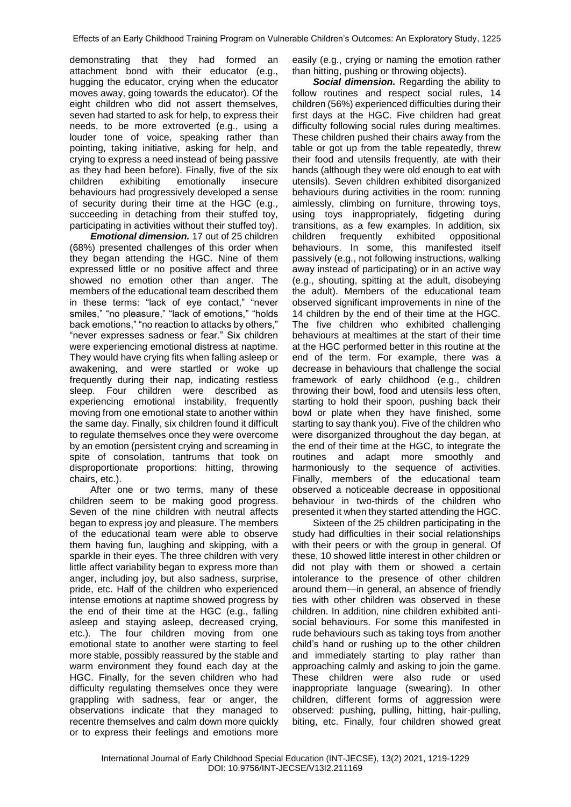demonstrating that they had formed an attachment bond with their educator (e.g., hugging the educator, crying when the educator moves away, going towards the educator). Of the eight children who did not assert themselves, seven had started to ask for help, to express their needs, to be more extroverted (e.g., using a louder tone of voice, speaking rather than pointing, taking initiative, asking for help, and crying to express a need instead of being passive as they had been before). Finally, five of the six children exhibiting emotionally insecure behaviours had progressively developed a sense of security during their time at the HGC (e.g., succeeding in detaching from their stuffed toy, participating in activities without their stuffed toy).

*Emotional dimension.* 17 out of 25 children (68%) presented challenges of this order when they began attending the HGC. Nine of them expressed little or no positive affect and three showed no emotion other than anger. The members of the educational team described them in these terms: "lack of eye contact," "never smiles," "no pleasure," "lack of emotions," "holds back emotions," "no reaction to attacks by others," "never expresses sadness or fear." Six children were experiencing emotional distress at naptime. They would have crying fits when falling asleep or awakening, and were startled or woke up frequently during their nap, indicating restless sleep. Four children were described as experiencing emotional instability, frequently moving from one emotional state to another within the same day. Finally, six children found it difficult to regulate themselves once they were overcome by an emotion (persistent crying and screaming in spite of consolation, tantrums that took on disproportionate proportions: hitting, throwing chairs, etc.).

After one or two terms, many of these children seem to be making good progress. Seven of the nine children with neutral affects began to express joy and pleasure. The members of the educational team were able to observe them having fun, laughing and skipping, with a sparkle in their eyes. The three children with very little affect variability began to express more than anger, including joy, but also sadness, surprise, pride, etc. Half of the children who experienced intense emotions at naptime showed progress by the end of their time at the HGC (e.g., falling asleep and staying asleep, decreased crying, etc.). The four children moving from one emotional state to another were starting to feel more stable, possibly reassured by the stable and warm environment they found each day at the HGC. Finally, for the seven children who had difficulty regulating themselves once they were grappling with sadness, fear or anger, the observations indicate that they managed to recentre themselves and calm down more quickly or to express their feelings and emotions more

easily (e.g., crying or naming the emotion rather than hitting, pushing or throwing objects).

**Social dimension.** Regarding the ability to follow routines and respect social rules, 14 children (56%) experienced difficulties during their first days at the HGC. Five children had great difficulty following social rules during mealtimes. These children pushed their chairs away from the table or got up from the table repeatedly, threw their food and utensils frequently, ate with their hands (although they were old enough to eat with utensils). Seven children exhibited disorganized behaviours during activities in the room: running aimlessly, climbing on furniture, throwing toys, using toys inappropriately, fidgeting during transitions, as a few examples. In addition, six children frequently exhibited oppositional behaviours. In some, this manifested itself passively (e.g., not following instructions, walking away instead of participating) or in an active way (e.g., shouting, spitting at the adult, disobeying the adult). Members of the educational team observed significant improvements in nine of the 14 children by the end of their time at the HGC. The five children who exhibited challenging behaviours at mealtimes at the start of their time at the HGC performed better in this routine at the end of the term. For example, there was a decrease in behaviours that challenge the social framework of early childhood (e.g., children throwing their bowl, food and utensils less often, starting to hold their spoon, pushing back their bowl or plate when they have finished, some starting to say thank you). Five of the children who were disorganized throughout the day began, at the end of their time at the HGC, to integrate the routines and adapt more smoothly and harmoniously to the sequence of activities. Finally, members of the educational team observed a noticeable decrease in oppositional behaviour in two-thirds of the children who presented it when they started attending the HGC.

Sixteen of the 25 children participating in the study had difficulties in their social relationships with their peers or with the group in general. Of these, 10 showed little interest in other children or did not play with them or showed a certain intolerance to the presence of other children around them—in general, an absence of friendly ties with other children was observed in these children. In addition, nine children exhibited antisocial behaviours. For some this manifested in rude behaviours such as taking toys from another child's hand or rushing up to the other children and immediately starting to play rather than approaching calmly and asking to join the game. These children were also rude or used inappropriate language (swearing). In other children, different forms of aggression were observed: pushing, pulling, hitting, hair-pulling, biting, etc. Finally, four children showed great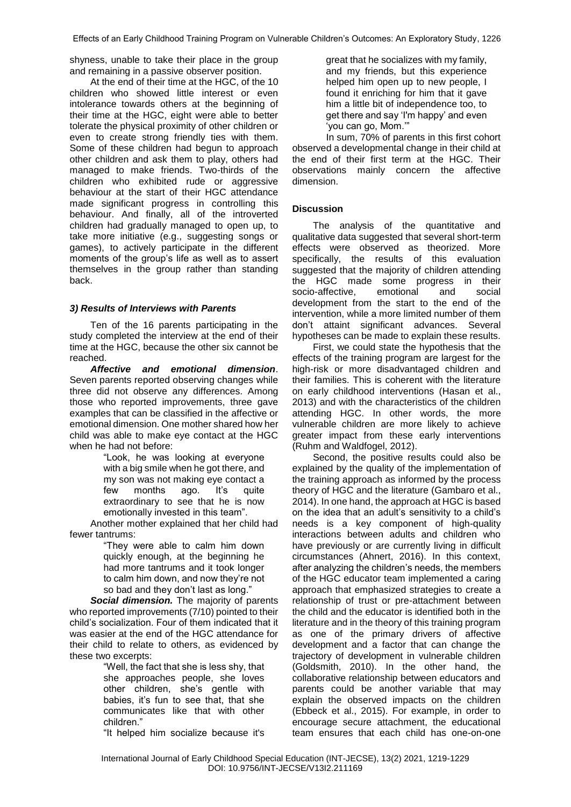shyness, unable to take their place in the group and remaining in a passive observer position.

At the end of their time at the HGC, of the 10 children who showed little interest or even intolerance towards others at the beginning of their time at the HGC, eight were able to better tolerate the physical proximity of other children or even to create strong friendly ties with them. Some of these children had begun to approach other children and ask them to play, others had managed to make friends. Two-thirds of the children who exhibited rude or aggressive behaviour at the start of their HGC attendance made significant progress in controlling this behaviour. And finally, all of the introverted children had gradually managed to open up, to take more initiative (e.g., suggesting songs or games), to actively participate in the different moments of the group's life as well as to assert themselves in the group rather than standing back.

# *3) Results of Interviews with Parents*

Ten of the 16 parents participating in the study completed the interview at the end of their time at the HGC, because the other six cannot be reached.

*Affective and emotional dimension*. Seven parents reported observing changes while three did not observe any differences. Among those who reported improvements, three gave examples that can be classified in the affective or emotional dimension. One mother shared how her child was able to make eye contact at the HGC when he had not before:

> "Look, he was looking at everyone with a big smile when he got there, and my son was not making eye contact a few months ago. It's quite extraordinary to see that he is now emotionally invested in this team".

Another mother explained that her child had fewer tantrums:

> "They were able to calm him down quickly enough, at the beginning he had more tantrums and it took longer to calm him down, and now they're not so bad and they don't last as long."

*Social dimension.* The majority of parents who reported improvements (7/10) pointed to their child's socialization. Four of them indicated that it was easier at the end of the HGC attendance for their child to relate to others, as evidenced by these two excerpts:

> "Well, the fact that she is less shy, that she approaches people, she loves other children, she's gentle with babies, it's fun to see that, that she communicates like that with other children."

"It helped him socialize because it's

great that he socializes with my family, and my friends, but this experience helped him open up to new people, I found it enriching for him that it gave him a little bit of independence too, to get there and say 'I'm happy' and even 'you can go, Mom.'"

In sum, 70% of parents in this first cohort observed a developmental change in their child at the end of their first term at the HGC. Their observations mainly concern the affective dimension.

# **Discussion**

The analysis of the quantitative and qualitative data suggested that several short-term effects were observed as theorized. More specifically, the results of this evaluation suggested that the majority of children attending the HGC made some progress in their<br>socio-affective, emotional and social socio-affective, emotional and development from the start to the end of the intervention, while a more limited number of them don't attaint significant advances. Several hypotheses can be made to explain these results.

First, we could state the hypothesis that the effects of the training program are largest for the high-risk or more disadvantaged children and their families. This is coherent with the literature on early childhood interventions (Hasan et al., 2013) and with the characteristics of the children attending HGC. In other words, the more vulnerable children are more likely to achieve greater impact from these early interventions (Ruhm and Waldfogel, 2012).

Second, the positive results could also be explained by the quality of the implementation of the training approach as informed by the process theory of HGC and the literature (Gambaro et al., 2014). In one hand, the approach at HGC is based on the idea that an adult's sensitivity to a child's needs is a key component of high-quality interactions between adults and children who have previously or are currently living in difficult circumstances (Ahnert, 2016). In this context, after analyzing the children's needs, the members of the HGC educator team implemented a caring approach that emphasized strategies to create a relationship of trust or pre-attachment between the child and the educator is identified both in the literature and in the theory of this training program as one of the primary drivers of affective development and a factor that can change the trajectory of development in vulnerable children (Goldsmith, 2010). In the other hand, the collaborative relationship between educators and parents could be another variable that may explain the observed impacts on the children (Ebbeck et al., 2015). For example, in order to encourage secure attachment, the educational team ensures that each child has one-on-one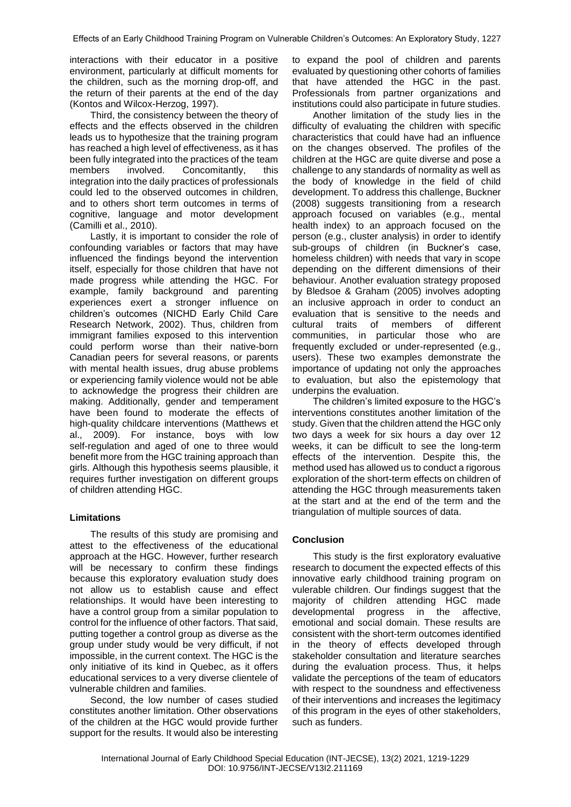interactions with their educator in a positive environment, particularly at difficult moments for the children, such as the morning drop-off, and the return of their parents at the end of the day (Kontos and Wilcox-Herzog, 1997).

Third, the consistency between the theory of effects and the effects observed in the children leads us to hypothesize that the training program has reached a high level of effectiveness, as it has been fully integrated into the practices of the team members involved. Concomitantly, this integration into the daily practices of professionals could led to the observed outcomes in children, and to others short term outcomes in terms of cognitive, language and motor development (Camilli et al., 2010).

Lastly, it is important to consider the role of confounding variables or factors that may have influenced the findings beyond the intervention itself, especially for those children that have not made progress while attending the HGC. For example, family background and parenting experiences exert a stronger influence on children's outcomes (NICHD Early Child Care Research Network, 2002). Thus, children from immigrant families exposed to this intervention could perform worse than their native-born Canadian peers for several reasons, or parents with mental health issues, drug abuse problems or experiencing family violence would not be able to acknowledge the progress their children are making. Additionally, gender and temperament have been found to moderate the effects of high-quality childcare interventions (Matthews et al., 2009). For instance, boys with low self-regulation and aged of one to three would benefit more from the HGC training approach than girls. Although this hypothesis seems plausible, it requires further investigation on different groups of children attending HGC.

## **Limitations**

The results of this study are promising and attest to the effectiveness of the educational approach at the HGC. However, further research will be necessary to confirm these findings because this exploratory evaluation study does not allow us to establish cause and effect relationships. It would have been interesting to have a control group from a similar population to control for the influence of other factors. That said, putting together a control group as diverse as the group under study would be very difficult, if not impossible, in the current context. The HGC is the only initiative of its kind in Quebec, as it offers educational services to a very diverse clientele of vulnerable children and families.

Second, the low number of cases studied constitutes another limitation. Other observations of the children at the HGC would provide further support for the results. It would also be interesting

to expand the pool of children and parents evaluated by questioning other cohorts of families that have attended the HGC in the past. Professionals from partner organizations and institutions could also participate in future studies.

Another limitation of the study lies in the difficulty of evaluating the children with specific characteristics that could have had an influence on the changes observed. The profiles of the children at the HGC are quite diverse and pose a challenge to any standards of normality as well as the body of knowledge in the field of child development. To address this challenge, Buckner (2008) suggests transitioning from a research approach focused on variables (e.g., mental health index) to an approach focused on the person (e.g., cluster analysis) in order to identify sub-groups of children (in Buckner's case, homeless children) with needs that vary in scope depending on the different dimensions of their behaviour. Another evaluation strategy proposed by Bledsoe & Graham (2005) involves adopting an inclusive approach in order to conduct an evaluation that is sensitive to the needs and cultural traits of members of different communities, in particular those who are frequently excluded or under-represented (e.g., users). These two examples demonstrate the importance of updating not only the approaches to evaluation, but also the epistemology that underpins the evaluation.

The children's limited exposure to the HGC's interventions constitutes another limitation of the study. Given that the children attend the HGC only two days a week for six hours a day over 12 weeks, it can be difficult to see the long-term effects of the intervention. Despite this, the method used has allowed us to conduct a rigorous exploration of the short-term effects on children of attending the HGC through measurements taken at the start and at the end of the term and the triangulation of multiple sources of data.

## **Conclusion**

This study is the first exploratory evaluative research to document the expected effects of this innovative early childhood training program on vulerable children. Our findings suggest that the majority of children attending HGC made developmental progress in the affective, emotional and social domain. These results are consistent with the short-term outcomes identified in the theory of effects developed through stakeholder consultation and literature searches during the evaluation process. Thus, it helps validate the perceptions of the team of educators with respect to the soundness and effectiveness of their interventions and increases the legitimacy of this program in the eyes of other stakeholders, such as funders.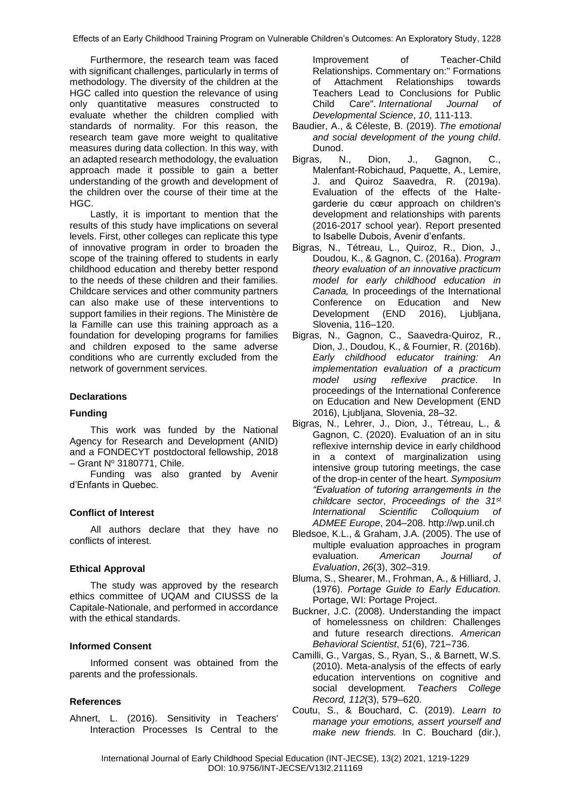Effects of an Early Childhood Training Program on Vulnerable Children's Outcomes: An Exploratory Study, 1228

Furthermore, the research team was faced with significant challenges, particularly in terms of methodology. The diversity of the children at the HGC called into question the relevance of using only quantitative measures constructed to evaluate whether the children complied with standards of normality. For this reason, the research team gave more weight to qualitative measures during data collection. In this way, with an adapted research methodology, the evaluation approach made it possible to gain a better understanding of the growth and development of the children over the course of their time at the HGC.

Lastly, it is important to mention that the results of this study have implications on several levels. First, other colleges can replicate this type of innovative program in order to broaden the scope of the training offered to students in early childhood education and thereby better respond to the needs of these children and their families. Childcare services and other community partners can also make use of these interventions to support families in their regions. The Ministère de la Famille can use this training approach as a foundation for developing programs for families and children exposed to the same adverse conditions who are currently excluded from the network of government services.

# **Declarations**

## **Funding**

This work was funded by the National Agency for Research and Development (ANID) and a FONDECYT postdoctoral fellowship, 2018  $-$  Grant N° 3180771, Chile.

Funding was also granted by Avenir d'Enfants in Quebec.

## **Conflict of Interest**

All authors declare that they have no conflicts of interest.

#### **Ethical Approval**

The study was approved by the research ethics committee of UQAM and CIUSSS de la Capitale-Nationale, and performed in accordance with the ethical standards.

## **Informed Consent**

Informed consent was obtained from the parents and the professionals.

### **References**

Ahnert, L. (2016). Sensitivity in Teachers' Interaction Processes Is Central to the

Improvement of Teacher-Child Relationships. Commentary on:" Formations<br>of Attachment Relationships towards Attachment Relationships towards Teachers Lead to Conclusions for Public Child Care". *International Journal of Developmental Science*, *10*, 111-113.

- Baudier, A., & Céleste, B. (2019). *The emotional and social development of the young child*. Dunod.
- Bigras, N., Dion, J., Gagnon, C., Malenfant-Robichaud, Paquette, A., Lemire, J. and Quiroz Saavedra, R. (2019a). Evaluation of the effects of the Haltegarderie du cœur approach on children's development and relationships with parents (2016-2017 school year). Report presented to Isabelle Dubois, Avenir d'enfants.
- Bigras, N., Tétreau, L., Quiroz, R., Dion, J., Doudou, K., & Gagnon, C. (2016a). *Program theory evaluation of an innovative practicum model for early childhood education in Canada,* In proceedings of the International Conference on Education and New Development (END 2016), Ljubljana, Slovenia, 116–120.
- Bigras, N., Gagnon, C., Saavedra-Quiroz, R., Dion, J., Doudou, K., & Fournier, R. (2016b). *Early childhood educator training: An implementation evaluation of a practicum model using reflexive practice.* In proceedings of the International Conference on Education and New Development (END 2016), Ljubljana, Slovenia, 28–32.
- Bigras, N., Lehrer, J., Dion, J., Tétreau, L., & Gagnon, C. (2020). Evaluation of an in situ reflexive internship device in early childhood in a context of marginalization using intensive group tutoring meetings, the case of the drop-in center of the heart. *Symposium "Evaluation of tutoring arrangements in the childcare sector*, *Proceedings of the 31st International Scientific Colloquium of ADMEE Europe*, 204–208. [http://wp.unil.ch](http://wp.unil.ch/)
- Bledsoe, K.L., & Graham, J.A. (2005). The use of multiple evaluation approaches in program evaluation. *American Journal of Evaluation*, *26*(3), 302*–*319.
- Bluma, S., Shearer, M., Frohman, A., & Hilliard, J. (1976). *Portage Guide to Early Education.* Portage, WI: Portage Project.
- Buckner, J.C. (2008). Understanding the impact of homelessness on children: Challenges and future research directions. *American Behavioral Scientist*, *51*(6), 721*–*736.
- Camilli, G., Vargas, S., Ryan, S., & Barnett, W.S. (2010). Meta-analysis of the effects of early education interventions on cognitive and social development. *Teachers College Record, 112*(3), 579–620.
- Coutu, S., & Bouchard, C. (2019). *Learn to manage your emotions, assert yourself and make new friends.* In C. Bouchard (dir.),